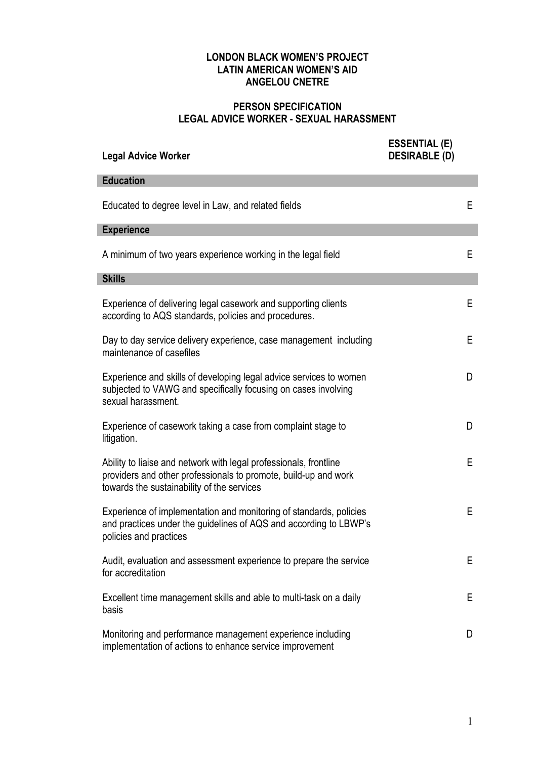## LONDON BLACK WOMEN'S PROJECT LATIN AMERICAN WOMEN'S AID ANGELOU CNETRE

## PERSON SPECIFICATION LEGAL ADVICE WORKER - SEXUAL HARASSMENT

| <b>Legal Advice Worker</b>                                                                                                                                                         | <b>ESSENTIAL (E)</b><br><b>DESIRABLE (D)</b> |    |
|------------------------------------------------------------------------------------------------------------------------------------------------------------------------------------|----------------------------------------------|----|
| <b>Education</b>                                                                                                                                                                   |                                              |    |
| Educated to degree level in Law, and related fields                                                                                                                                |                                              | E. |
| <b>Experience</b>                                                                                                                                                                  |                                              |    |
| A minimum of two years experience working in the legal field                                                                                                                       |                                              | E. |
| <b>Skills</b>                                                                                                                                                                      |                                              |    |
| Experience of delivering legal casework and supporting clients<br>according to AQS standards, policies and procedures.                                                             |                                              | Е  |
| Day to day service delivery experience, case management including<br>maintenance of casefiles                                                                                      |                                              | E  |
| Experience and skills of developing legal advice services to women<br>subjected to VAWG and specifically focusing on cases involving<br>sexual harassment.                         |                                              | D  |
| Experience of casework taking a case from complaint stage to<br>litigation.                                                                                                        |                                              | D  |
| Ability to liaise and network with legal professionals, frontline<br>providers and other professionals to promote, build-up and work<br>towards the sustainability of the services |                                              | Е  |
| Experience of implementation and monitoring of standards, policies<br>and practices under the guidelines of AQS and according to LBWP's<br>policies and practices                  |                                              | Е  |
| Audit, evaluation and assessment experience to prepare the service<br>for accreditation                                                                                            |                                              | Е  |
| Excellent time management skills and able to multi-task on a daily<br>basis                                                                                                        |                                              | Е  |
| Monitoring and performance management experience including<br>implementation of actions to enhance service improvement                                                             |                                              | D  |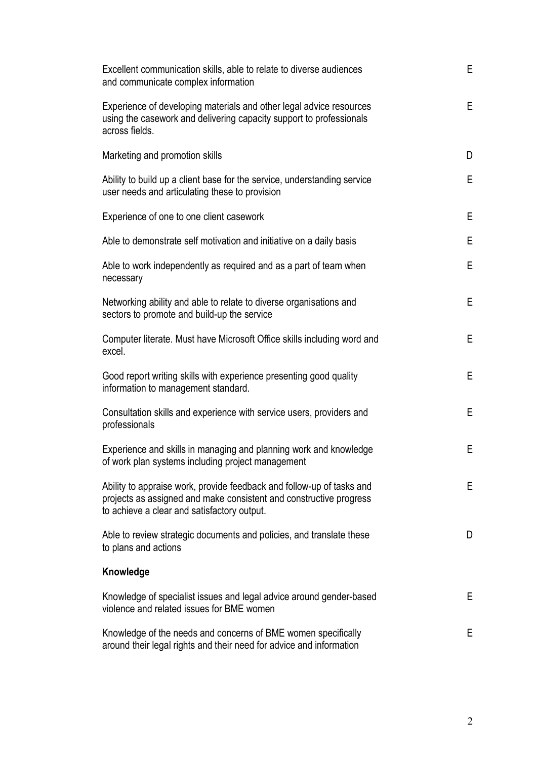| Excellent communication skills, able to relate to diverse audiences<br>and communicate complex information                                                                                 | Е |
|--------------------------------------------------------------------------------------------------------------------------------------------------------------------------------------------|---|
| Experience of developing materials and other legal advice resources<br>using the casework and delivering capacity support to professionals<br>across fields.                               | Е |
| Marketing and promotion skills                                                                                                                                                             | D |
| Ability to build up a client base for the service, understanding service<br>user needs and articulating these to provision                                                                 | Е |
| Experience of one to one client casework                                                                                                                                                   | E |
| Able to demonstrate self motivation and initiative on a daily basis                                                                                                                        | Е |
| Able to work independently as required and as a part of team when<br>necessary                                                                                                             | Е |
| Networking ability and able to relate to diverse organisations and<br>sectors to promote and build-up the service                                                                          | Е |
| Computer literate. Must have Microsoft Office skills including word and<br>excel.                                                                                                          | Е |
| Good report writing skills with experience presenting good quality<br>information to management standard.                                                                                  | Е |
| Consultation skills and experience with service users, providers and<br>professionals                                                                                                      | E |
| Experience and skills in managing and planning work and knowledge<br>of work plan systems including project management                                                                     | Е |
| Ability to appraise work, provide feedback and follow-up of tasks and<br>projects as assigned and make consistent and constructive progress<br>to achieve a clear and satisfactory output. | E |
| Able to review strategic documents and policies, and translate these<br>to plans and actions                                                                                               | D |
| Knowledge                                                                                                                                                                                  |   |
| Knowledge of specialist issues and legal advice around gender-based<br>violence and related issues for BME women                                                                           | Е |
| Knowledge of the needs and concerns of BME women specifically<br>around their legal rights and their need for advice and information                                                       | E |